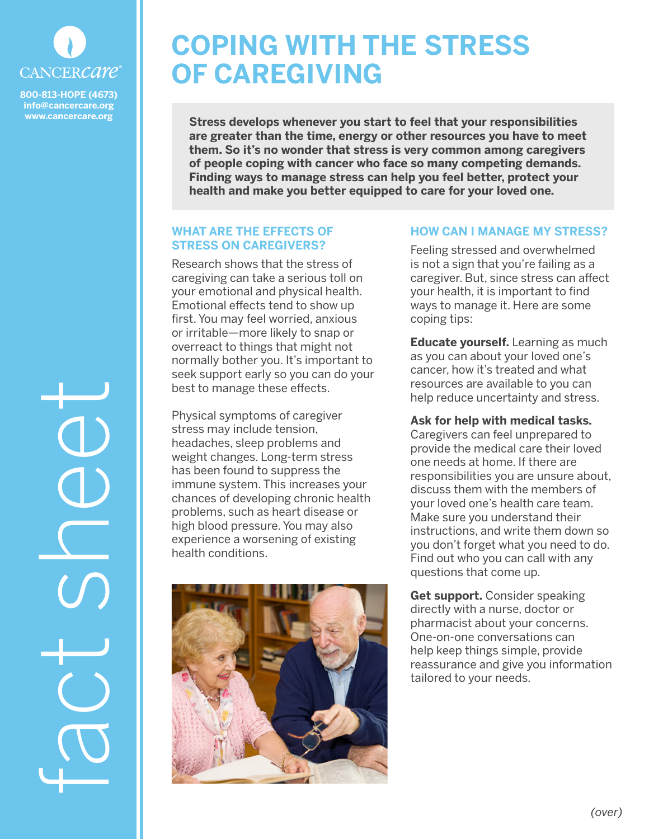

**800-813-HOPE (4673) info@cancercare.org www.cancercare.org**

## **COPING WITH THE STRESS OF CAREGIVING**

**Stress develops whenever you start to feel that your responsibilities are greater than the time, energy or other resources you have to meet them. So it's no wonder that stress is very common among caregivers of people coping with cancer who face so many competing demands. Finding ways to manage stress can help you feel better, protect your health and make you better equipped to care for your loved one.**

## **WHAT ARE THE EFFECTS OF STRESS ON CAREGIVERS?**

Research shows that the stress of caregiving can take a serious toll on your emotional and physical health. Emotional effects tend to show up first. You may feel worried, anxious or irritable—more likely to snap or overreact to things that might not normally bother you. It's important to seek support early so you can do your best to manage these effects.

Physical symptoms of caregiver stress may include tension, headaches, sleep problems and weight changes. Long-term stress has been found to suppress the immune system. This increases your chances of developing chronic health problems, such as heart disease or high blood pressure. You may also experience a worsening of existing health conditions.



## **HOW CAN I MANAGE MY STRESS?**

Feeling stressed and overwhelmed is not a sign that you're failing as a caregiver. But, since stress can affect your health, it is important to find ways to manage it. Here are some coping tips:

**Educate yourself.** Learning as much as you can about your loved one's cancer, how it's treated and what resources are available to you can help reduce uncertainty and stress.

**Ask for help with medical tasks.**  Caregivers can feel unprepared to provide the medical care their loved one needs at home. If there are responsibilities you are unsure about, discuss them with the members of your loved one's health care team. Make sure you understand their instructions, and write them down so you don't forget what you need to do. Find out who you can call with any questions that come up.

**Get support.** Consider speaking directly with a nurse, doctor or pharmacist about your concerns. One-on-one conversations can help keep things simple, provide reassurance and give you information tailored to your needs.